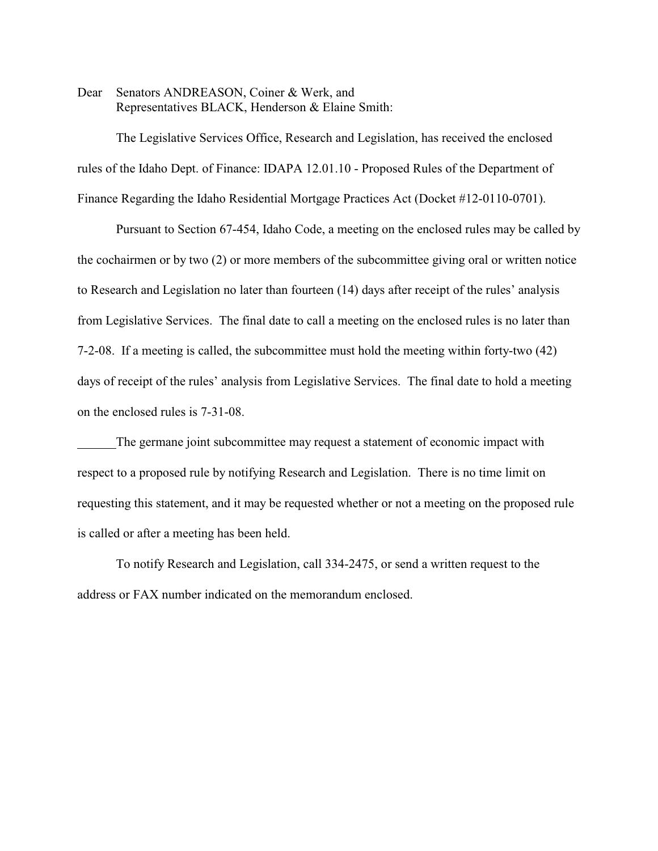Dear Senators ANDREASON, Coiner & Werk, and Representatives BLACK, Henderson & Elaine Smith:

The Legislative Services Office, Research and Legislation, has received the enclosed rules of the Idaho Dept. of Finance: IDAPA 12.01.10 - Proposed Rules of the Department of Finance Regarding the Idaho Residential Mortgage Practices Act (Docket #12-0110-0701).

Pursuant to Section 67-454, Idaho Code, a meeting on the enclosed rules may be called by the cochairmen or by two (2) or more members of the subcommittee giving oral or written notice to Research and Legislation no later than fourteen (14) days after receipt of the rules' analysis from Legislative Services. The final date to call a meeting on the enclosed rules is no later than 7-2-08. If a meeting is called, the subcommittee must hold the meeting within forty-two (42) days of receipt of the rules' analysis from Legislative Services. The final date to hold a meeting on the enclosed rules is 7-31-08.

The germane joint subcommittee may request a statement of economic impact with respect to a proposed rule by notifying Research and Legislation. There is no time limit on requesting this statement, and it may be requested whether or not a meeting on the proposed rule is called or after a meeting has been held.

To notify Research and Legislation, call 334-2475, or send a written request to the address or FAX number indicated on the memorandum enclosed.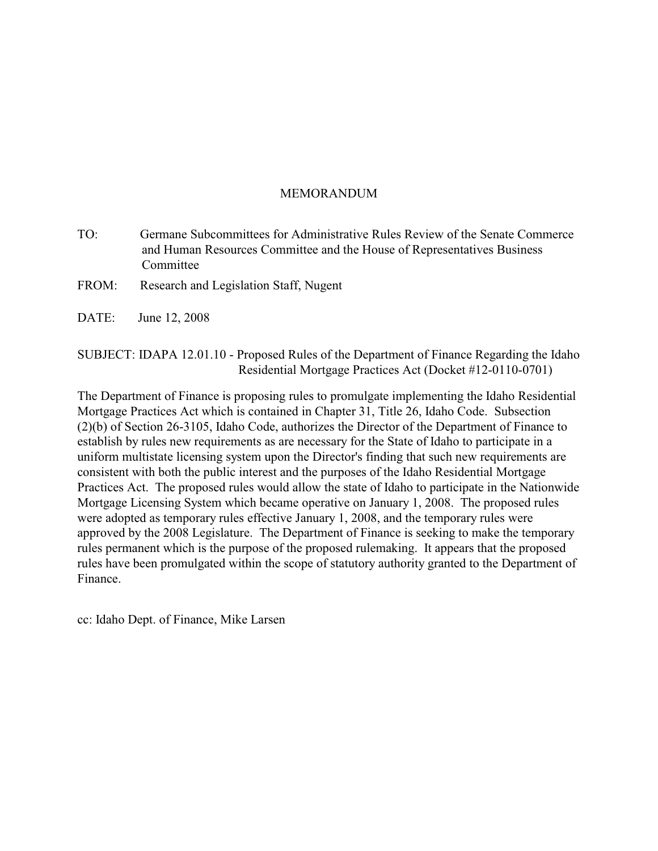# MEMORANDUM

- TO: Germane Subcommittees for Administrative Rules Review of the Senate Commerce and Human Resources Committee and the House of Representatives Business Committee
- FROM: Research and Legislation Staff, Nugent
- DATE: June 12, 2008

SUBJECT: IDAPA 12.01.10 - Proposed Rules of the Department of Finance Regarding the Idaho Residential Mortgage Practices Act (Docket #12-0110-0701)

The Department of Finance is proposing rules to promulgate implementing the Idaho Residential Mortgage Practices Act which is contained in Chapter 31, Title 26, Idaho Code. Subsection (2)(b) of Section 26-3105, Idaho Code, authorizes the Director of the Department of Finance to establish by rules new requirements as are necessary for the State of Idaho to participate in a uniform multistate licensing system upon the Director's finding that such new requirements are consistent with both the public interest and the purposes of the Idaho Residential Mortgage Practices Act. The proposed rules would allow the state of Idaho to participate in the Nationwide Mortgage Licensing System which became operative on January 1, 2008. The proposed rules were adopted as temporary rules effective January 1, 2008, and the temporary rules were approved by the 2008 Legislature. The Department of Finance is seeking to make the temporary rules permanent which is the purpose of the proposed rulemaking. It appears that the proposed rules have been promulgated within the scope of statutory authority granted to the Department of Finance.

cc: Idaho Dept. of Finance, Mike Larsen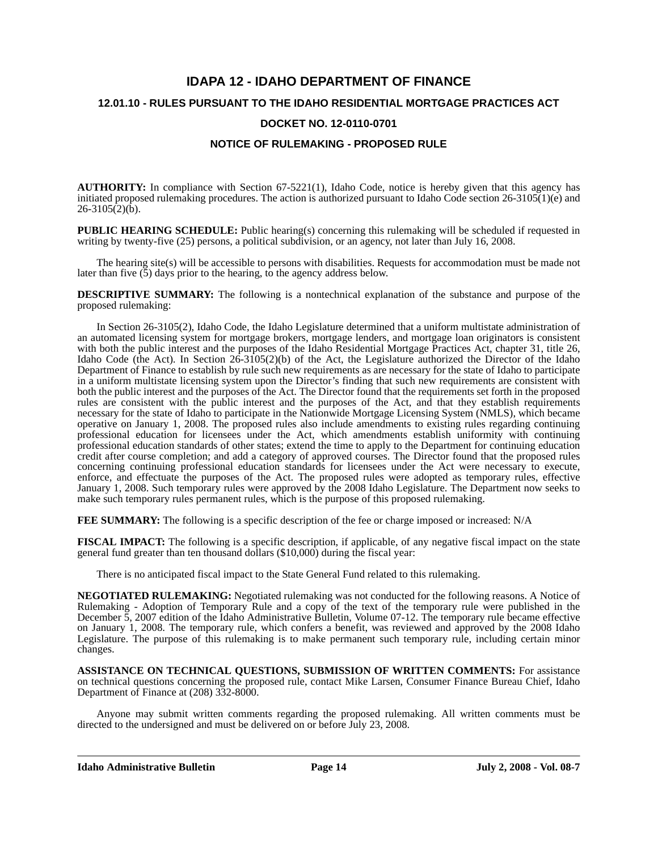# **IDAPA 12 - IDAHO DEPARTMENT OF FINANCE**

### **12.01.10 - RULES PURSUANT TO THE IDAHO RESIDENTIAL MORTGAGE PRACTICES ACT**

### **DOCKET NO. 12-0110-0701**

## **NOTICE OF RULEMAKING - PROPOSED RULE**

**AUTHORITY:** In compliance with Section 67-5221(1), Idaho Code, notice is hereby given that this agency has initiated proposed rulemaking procedures. The action is authorized pursuant to Idaho Code section 26-3105(1)(e) and  $26 - 3105(2)(b)$ .

**PUBLIC HEARING SCHEDULE:** Public hearing(s) concerning this rulemaking will be scheduled if requested in writing by twenty-five (25) persons, a political subdivision, or an agency, not later than July 16, 2008.

The hearing site(s) will be accessible to persons with disabilities. Requests for accommodation must be made not later than five  $(5)$  days prior to the hearing, to the agency address below.

**DESCRIPTIVE SUMMARY:** The following is a nontechnical explanation of the substance and purpose of the proposed rulemaking:

In Section 26-3105(2), Idaho Code, the Idaho Legislature determined that a uniform multistate administration of an automated licensing system for mortgage brokers, mortgage lenders, and mortgage loan originators is consistent with both the public interest and the purposes of the Idaho Residential Mortgage Practices Act, chapter 31, title 26, Idaho Code (the Act). In Section 26-3105(2)(b) of the Act, the Legislature authorized the Director of the Idaho Department of Finance to establish by rule such new requirements as are necessary for the state of Idaho to participate in a uniform multistate licensing system upon the Director's finding that such new requirements are consistent with both the public interest and the purposes of the Act. The Director found that the requirements set forth in the proposed rules are consistent with the public interest and the purposes of the Act, and that they establish requirements necessary for the state of Idaho to participate in the Nationwide Mortgage Licensing System (NMLS), which became operative on January 1, 2008. The proposed rules also include amendments to existing rules regarding continuing professional education for licensees under the Act, which amendments establish uniformity with continuing professional education standards of other states; extend the time to apply to the Department for continuing education credit after course completion; and add a category of approved courses. The Director found that the proposed rules concerning continuing professional education standards for licensees under the Act were necessary to execute, enforce, and effectuate the purposes of the Act. The proposed rules were adopted as temporary rules, effective January 1, 2008. Such temporary rules were approved by the 2008 Idaho Legislature. The Department now seeks to make such temporary rules permanent rules, which is the purpose of this proposed rulemaking.

**FEE SUMMARY:** The following is a specific description of the fee or charge imposed or increased: N/A

**FISCAL IMPACT:** The following is a specific description, if applicable, of any negative fiscal impact on the state general fund greater than ten thousand dollars (\$10,000) during the fiscal year:

There is no anticipated fiscal impact to the State General Fund related to this rulemaking.

**NEGOTIATED RULEMAKING:** Negotiated rulemaking was not conducted for the following reasons. A Notice of Rulemaking - Adoption of Temporary Rule and a copy of the text of the temporary rule were published in the December 5, 2007 edition of the Idaho Administrative Bulletin, Volume 07-12. The temporary rule became effective on January 1, 2008. The temporary rule, which confers a benefit, was reviewed and approved by the 2008 Idaho Legislature. The purpose of this rulemaking is to make permanent such temporary rule, including certain minor changes.

**ASSISTANCE ON TECHNICAL QUESTIONS, SUBMISSION OF WRITTEN COMMENTS:** For assistance on technical questions concerning the proposed rule, contact Mike Larsen, Consumer Finance Bureau Chief, Idaho Department of Finance at (208) 332-8000.

Anyone may submit written comments regarding the proposed rulemaking. All written comments must be directed to the undersigned and must be delivered on or before July 23, 2008.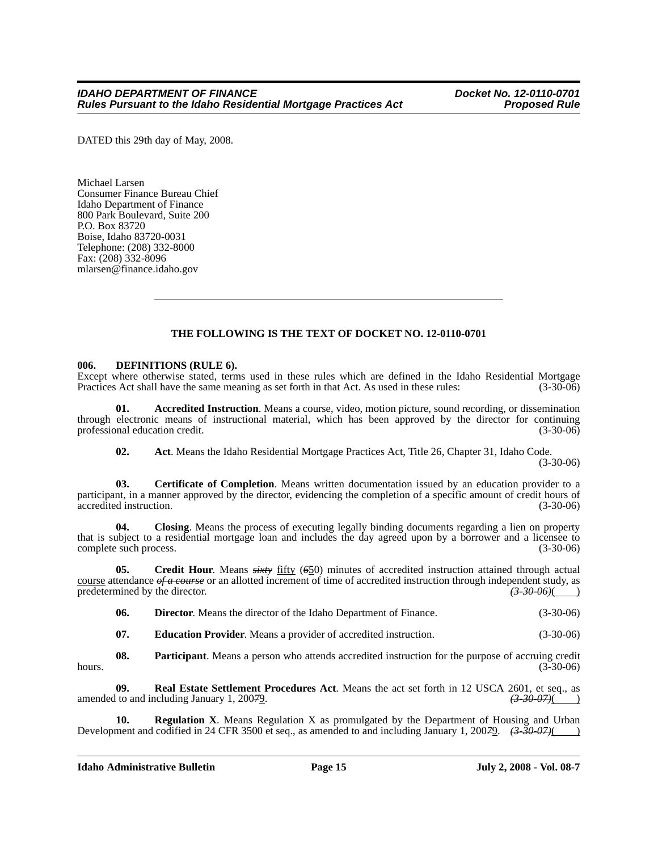DATED this 29th day of May, 2008.

Michael Larsen Consumer Finance Bureau Chief Idaho Department of Finance 800 Park Boulevard, Suite 200 P.O. Box 83720 Boise, Idaho 83720-0031 Telephone: (208) 332-8000 Fax: (208) 332-8096 mlarsen@finance.idaho.gov

## **THE FOLLOWING IS THE TEXT OF DOCKET NO. 12-0110-0701**

#### **006. DEFINITIONS (RULE 6).**

Except where otherwise stated, terms used in these rules which are defined in the Idaho Residential Mortgage Practices Act shall have the same meaning as set forth in that Act. As used in these rules: (3-30-06) Practices Act shall have the same meaning as set forth in that Act. As used in these rules:

**01. Accredited Instruction**. Means a course, video, motion picture, sound recording, or dissemination through electronic means of instructional material, which has been approved by the director for continuing professional education credit. (3-30-06)

**02. Act**. Means the Idaho Residential Mortgage Practices Act, Title 26, Chapter 31, Idaho Code. (3-30-06)

**03. Certificate of Completion**. Means written documentation issued by an education provider to a participant, in a manner approved by the director, evidencing the completion of a specific amount of credit hours of accredited instruction. (3-30-06)

**04. Closing**. Means the process of executing legally binding documents regarding a lien on property that is subject to a residential mortgage loan and includes the day agreed upon by a borrower and a licensee to complete such process. (3-30-06) complete such process.

**05. Credit Hour**. Means *sixty* fifty (*6*50) minutes of accredited instruction attained through actual course attendance *of a course* or an allotted increment of time of accredited instruction through independent study, as predetermined by the director. (3.30 06)( predetermined by the director.  $\left(3.30-06\right)$  ( $\left(3.30-06\right)$ )

**06. Director**. Means the director of the Idaho Department of Finance. (3-30-06)

**07. Education Provider**. Means a provider of accredited instruction. (3-30-06)

**08. Participant**. Means a person who attends accredited instruction for the purpose of accruing credit hours.  $(3-30-06)$ 

**09. Real Estate Settlement Procedures Act**. Means the act set forth in 12 USCA 2601, et seq., as amended to and including January 1, 200*7*9. *(3-30-07)*( )

**Regulation X**. Means Regulation X as promulgated by the Department of Housing and Urban Development and codified in 24 CFR 3500 et seq., as amended to and including January 1, 200*7*9. *(3-30-07)*( )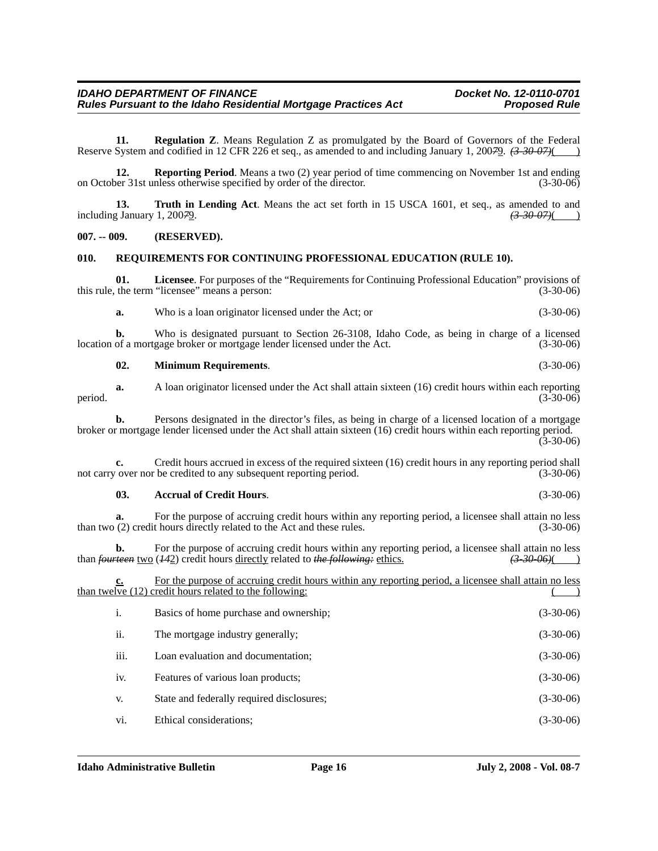**11. Regulation Z**. Means Regulation Z as promulgated by the Board of Governors of the Federal Reserve System and codified in 12 CFR 226 et seq., as amended to and including January 1, 200*7*9. *(3-30-07)*( )

**12.** Reporting Period. Means a two (2) year period of time commencing on November 1st and ending on October 31st unless otherwise specified by order of the director. (3-30-06)

**13. Truth in Lending Act**. Means the act set forth in 15 USCA 1601, et seq., as amended to and including January 1, 200*7*9. *(3-30-07)*( )

#### **007. -- 009. (RESERVED).**

#### **010. REQUIREMENTS FOR CONTINUING PROFESSIONAL EDUCATION (RULE 10).**

**01.** Licensee. For purposes of the "Requirements for Continuing Professional Education" provisions of the term "licensee" means a person: (3-30-06) this rule, the term "licensee" means a person:

**a.** Who is a loan originator licensed under the Act; or (3-30-06)

**b.** Who is designated pursuant to Section 26-3108, Idaho Code, as being in charge of a licensed location of a mortgage broker or mortgage lender licensed under the Act. (3-30-06)

| 02. | <b>Minimum Requirements.</b> | $(3-30-06)$ |
|-----|------------------------------|-------------|
|-----|------------------------------|-------------|

**a.** A loan originator licensed under the Act shall attain sixteen (16) credit hours within each reporting (3-30-06) period.  $(3-30-06)$ 

**b.** Persons designated in the director's files, as being in charge of a licensed location of a mortgage broker or mortgage lender licensed under the Act shall attain sixteen (16) credit hours within each reporting period. (3-30-06)

**c.** Credit hours accrued in excess of the required sixteen (16) credit hours in any reporting period shall not carry over nor be credited to any subsequent reporting period. (3-30-06)

#### **03. Accrual of Credit Hours**. (3-30-06)

**a.** For the purpose of accruing credit hours within any reporting period, a licensee shall attain no less than two (2) credit hours directly related to the Act and these rules. (3-30-06)

**b.** For the purpose of accruing credit hours within any reporting period, a licensee shall attain no less  $\frac{1}{3}$   $\frac{30}{96}$  (442) credit hours directly related to *the following*; ethics.  $\frac{33006}{100}$ than *fourteen* two (*142*) credit hours directly related to *the following*: ethics.

| <u>c.</u> | For the purpose of accruing credit hours within any reporting period, a licensee shall attain no less<br>than twelve (12) credit hours related to the following: |             |
|-----------|------------------------------------------------------------------------------------------------------------------------------------------------------------------|-------------|
| i.        | Basics of home purchase and ownership;                                                                                                                           | $(3-30-06)$ |
| ii.       | The mortgage industry generally;                                                                                                                                 | $(3-30-06)$ |
| iii.      | Loan evaluation and documentation;                                                                                                                               | $(3-30-06)$ |
| iv.       | Features of various loan products;                                                                                                                               | $(3-30-06)$ |
| V.        | State and federally required disclosures;                                                                                                                        | $(3-30-06)$ |
| vi.       | Ethical considerations;                                                                                                                                          | $(3-30-06)$ |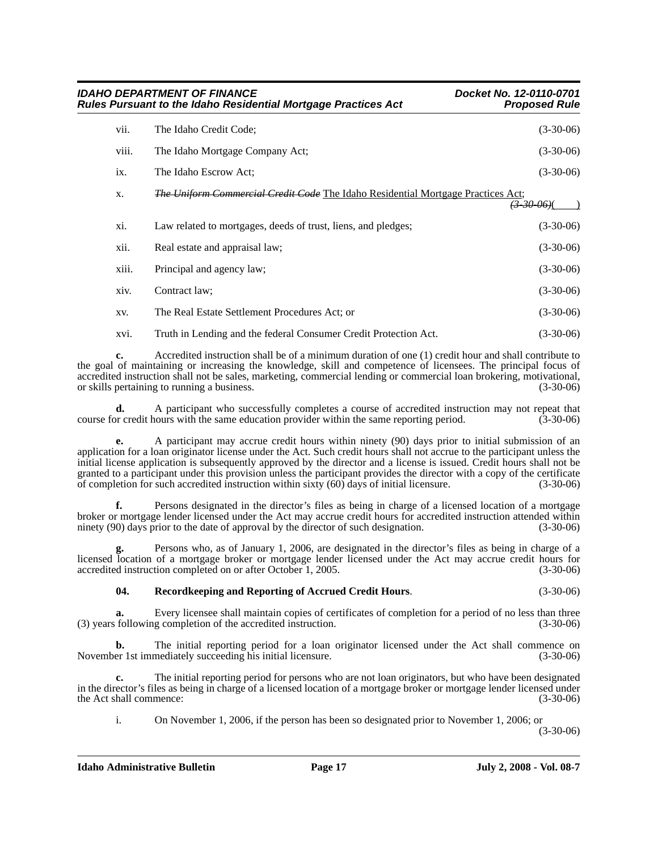|       | <b>IDAHO DEPARTMENT OF FINANCE</b><br><b>Rules Pursuant to the Idaho Residential Mortgage Practices Act</b> | Docket No. 12-0110-0701<br><b>Proposed Rule</b> |
|-------|-------------------------------------------------------------------------------------------------------------|-------------------------------------------------|
| vii.  | The Idaho Credit Code;                                                                                      | $(3-30-06)$                                     |
| viii. | The Idaho Mortgage Company Act;                                                                             | $(3-30-06)$                                     |
| ix.   | The Idaho Escrow Act;                                                                                       | $(3-30-06)$                                     |
| X.    | <i>The Uniform Commercial Credit Code</i> The Idaho Residential Mortgage Practices Act;                     | <u>(3–30–06)(</u>                               |
| xi.   | Law related to mortgages, deeds of trust, liens, and pledges;                                               | $(3-30-06)$                                     |
| xii.  | Real estate and appraisal law;                                                                              | $(3-30-06)$                                     |
| xiii. | Principal and agency law;                                                                                   | $(3-30-06)$                                     |
| xiv.  | Contract law;                                                                                               | $(3-30-06)$                                     |
| XV.   | The Real Estate Settlement Procedures Act; or                                                               | $(3-30-06)$                                     |
| xvi.  | Truth in Lending and the federal Consumer Credit Protection Act.                                            | $(3-30-06)$                                     |

**c.** Accredited instruction shall be of a minimum duration of one (1) credit hour and shall contribute to the goal of maintaining or increasing the knowledge, skill and competence of licensees. The principal focus of accredited instruction shall not be sales, marketing, commercial lending or commercial loan brokering, motivational, or skills pertaining to running a business. (3-30-06)

**d.** A participant who successfully completes a course of accredited instruction may not repeat that or credit hours with the same education provider within the same reporting period. (3-30-06) course for credit hours with the same education provider within the same reporting period.

**e.** A participant may accrue credit hours within ninety (90) days prior to initial submission of an application for a loan originator license under the Act. Such credit hours shall not accrue to the participant unless the initial license application is subsequently approved by the director and a license is issued. Credit hours shall not be granted to a participant under this provision unless the participant provides the director with a copy of the certificate of completion for such accredited instruction within sixty (60) days of initial licensure. (3-30-06)

**f.** Persons designated in the director's files as being in charge of a licensed location of a mortgage broker or mortgage lender licensed under the Act may accrue credit hours for accredited instruction attended within ninety (90) days prior to the date of approval by the director of such designation. (3-30-06)

**g.** Persons who, as of January 1, 2006, are designated in the director's files as being in charge of a licensed location of a mortgage broker or mortgage lender licensed under the Act may accrue credit hours for accredited instruction completed on or after October 1, 2005. (3-30-06)

## **04. Recordkeeping and Reporting of Accrued Credit Hours**. (3-30-06)

**a.** Every licensee shall maintain copies of certificates of completion for a period of no less than three (3) years following completion of the accredited instruction. (3-30-06)

**b.** The initial reporting period for a loan originator licensed under the Act shall commence on er 1st immediately succeeding his initial licensure. (3-30-06) November 1st immediately succeeding his initial licensure.

**c.** The initial reporting period for persons who are not loan originators, but who have been designated in the director's files as being in charge of a licensed location of a mortgage broker or mortgage lender licensed under the Act shall commence: (3-30-06)

i. On November 1, 2006, if the person has been so designated prior to November 1, 2006; or

(3-30-06)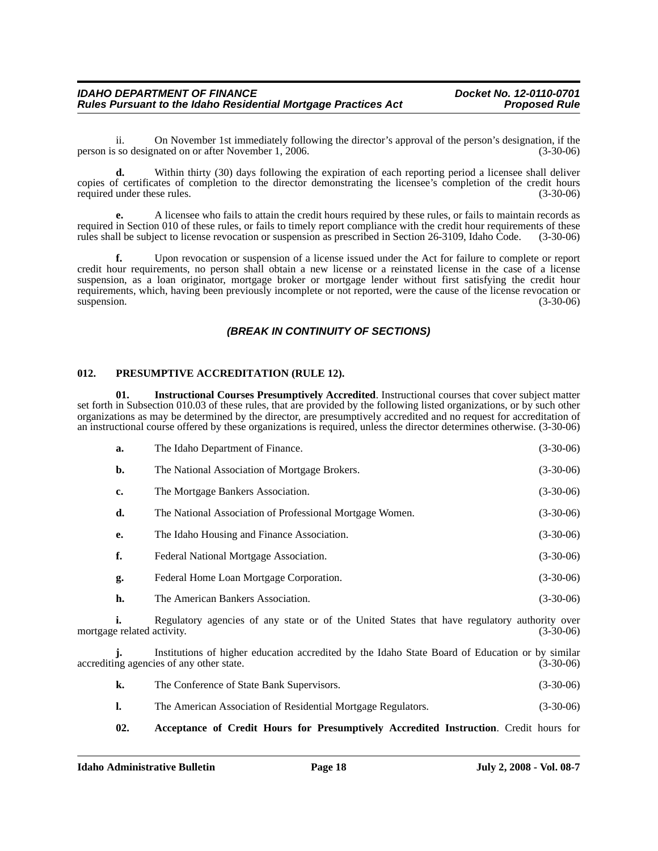ii. On November 1st immediately following the director's approval of the person's designation, if the person is so designated on or after November 1, 2006. (3-30-06)

**d.** Within thirty (30) days following the expiration of each reporting period a licensee shall deliver copies of certificates of completion to the director demonstrating the licensee's completion of the credit hours required under these rules. (3-30-06) required under these rules.

**e.** A licensee who fails to attain the credit hours required by these rules, or fails to maintain records as required in Section 010 of these rules, or fails to timely report compliance with the credit hour requirements of these rules shall be subject to license revocation or suspension as prescribed in Section 26-3109, Idaho Code. (3-30-06)

**f.** Upon revocation or suspension of a license issued under the Act for failure to complete or report credit hour requirements, no person shall obtain a new license or a reinstated license in the case of a license suspension, as a loan originator, mortgage broker or mortgage lender without first satisfying the credit hour requirements, which, having been previously incomplete or not reported, were the cause of the license revocation or suspension. (3-30-06)  $s$ uspension. (3-30-06)

## *(BREAK IN CONTINUITY OF SECTIONS)*

### **012. PRESUMPTIVE ACCREDITATION (RULE 12).**

**01. Instructional Courses Presumptively Accredited**. Instructional courses that cover subject matter set forth in Subsection 010.03 of these rules, that are provided by the following listed organizations, or by such other organizations as may be determined by the director, are presumptively accredited and no request for accreditation of an instructional course offered by these organizations is required, unless the director determines otherwise. (3-30-06)

| a. | The Idaho Department of Finance.                         | $(3-30-06)$ |
|----|----------------------------------------------------------|-------------|
| b. | The National Association of Mortgage Brokers.            | $(3-30-06)$ |
| c. | The Mortgage Bankers Association.                        | $(3-30-06)$ |
| d. | The National Association of Professional Mortgage Women. | $(3-30-06)$ |
| e. | The Idaho Housing and Finance Association.               | $(3-30-06)$ |
| f. | Federal National Mortgage Association.                   | $(3-30-06)$ |
| g. | Federal Home Loan Mortgage Corporation.                  | $(3-30-06)$ |
| h. | The American Bankers Association.                        | $(3-30-06)$ |
|    |                                                          |             |

**i.** Regulatory agencies of any state or of the United States that have regulatory authority over mortgage related activity. (3-30-06)

**j.** Institutions of higher education accredited by the Idaho State Board of Education or by similar accrediting agencies of any other state. (3-30-06)

| k. | The Conference of State Bank Supervisors. | $(3-30-06)$ |
|----|-------------------------------------------|-------------|
|----|-------------------------------------------|-------------|

- **l.** The American Association of Residential Mortgage Regulators. (3-30-06)
- **02. Acceptance of Credit Hours for Presumptively Accredited Instruction**. Credit hours for